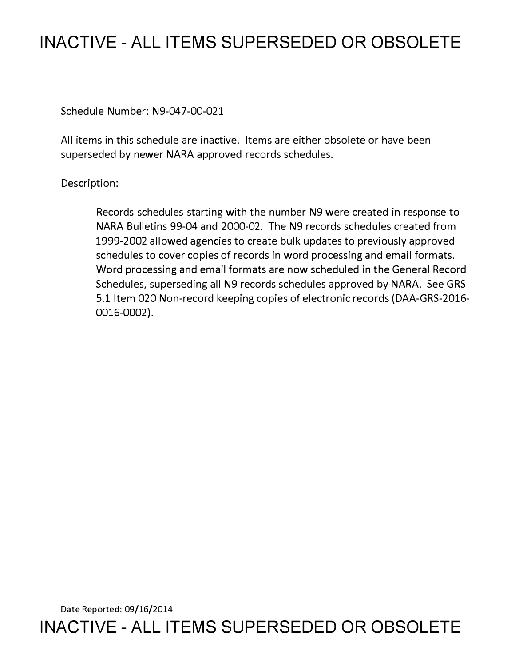## **INACTIVE - ALL ITEMS SUPERSEDED OR OBSOLETE**

Schedule Number: N9-047-00-021

All items in this schedule are inactive. Items are either obsolete or have been superseded by newer NARA approved records schedules.

Description:

Records schedules starting with the number N9 were created in response to NARA Bulletins 99-04 and 2000-02. The N9 records schedules created from 1999-2002 allowed agencies to create bulk updates to previously approved schedules to cover copies of records in word processing and email formats. Word processing and email formats are now scheduled in the General Record Schedules, superseding all N9 records schedules approved by NARA. See GRS 5.1 Item 020 Non-record keeping copies of electronic records (DAA-GRS-2016- 0016-0002).

Date Reported: 09/16/2014 **INACTIVE - ALL ITEMS SUPERSEDED OR OBSOLETE**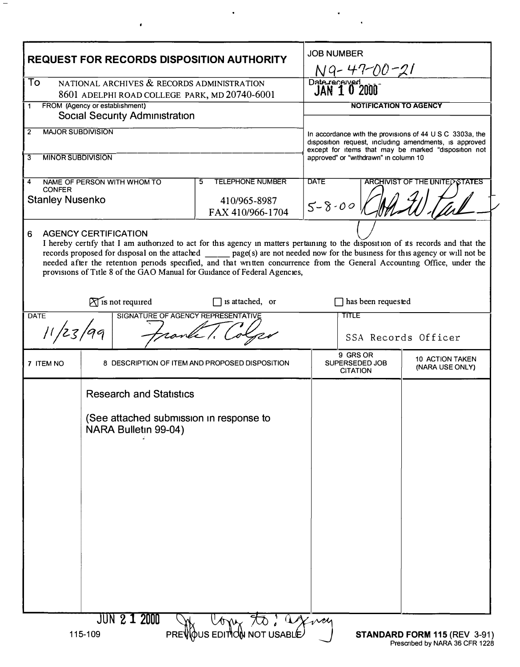| <b>REQUEST FOR RECORDS DISPOSITION AUTHORITY</b>                                     |                                                                                                   |                                                                                                                                                                                                                                                                                                                                                                                                                                                                              | <b>JOB NUMBER</b><br>NG-47-00-21                                                                                                                                                                                         |                                    |
|--------------------------------------------------------------------------------------|---------------------------------------------------------------------------------------------------|------------------------------------------------------------------------------------------------------------------------------------------------------------------------------------------------------------------------------------------------------------------------------------------------------------------------------------------------------------------------------------------------------------------------------------------------------------------------------|--------------------------------------------------------------------------------------------------------------------------------------------------------------------------------------------------------------------------|------------------------------------|
| To<br>NATIONAL ARCHIVES & RECORDS ADMINISTRATION                                     |                                                                                                   |                                                                                                                                                                                                                                                                                                                                                                                                                                                                              | Date received<br>JAN 10 2000                                                                                                                                                                                             |                                    |
| 8601 ADELPHI ROAD COLLEGE PARK, MD 20740-6001<br>FROM (Agency or establishment)<br>1 |                                                                                                   |                                                                                                                                                                                                                                                                                                                                                                                                                                                                              | <b>NOTIFICATION TO AGENCY</b>                                                                                                                                                                                            |                                    |
| <b>Social Security Administration</b>                                                |                                                                                                   |                                                                                                                                                                                                                                                                                                                                                                                                                                                                              |                                                                                                                                                                                                                          |                                    |
| <b>MAJOR SUBDIVISION</b><br>$\overline{2}$                                           |                                                                                                   |                                                                                                                                                                                                                                                                                                                                                                                                                                                                              | In accordance with the provisions of 44 $\cup$ S C 3303a, the<br>disposition request, including amendments, is approved<br>except for items that may be marked "disposition not<br>approved" or "withdrawn" in column 10 |                                    |
| <b>MINOR SUBDIVISION</b><br>3                                                        |                                                                                                   |                                                                                                                                                                                                                                                                                                                                                                                                                                                                              |                                                                                                                                                                                                                          |                                    |
| <b>TELEPHONE NUMBER</b><br>NAME OF PERSON WITH WHOM TO<br>5<br>4<br><b>CONFER</b>    |                                                                                                   |                                                                                                                                                                                                                                                                                                                                                                                                                                                                              | <b>DATE</b><br><b>ARCHIVIST OF THE UNITED STATES</b>                                                                                                                                                                     |                                    |
| <b>Stanley Nusenko</b><br>410/965-8987                                               |                                                                                                   | FAX 410/966-1704                                                                                                                                                                                                                                                                                                                                                                                                                                                             | $5 - 8 - 00$                                                                                                                                                                                                             |                                    |
| 6                                                                                    | <b>AGENCY CERTIFICATION</b>                                                                       | I hereby certify that I am authorized to act for this agency in matters pertaining to the disposition of its records and that the<br>records proposed for disposal on the attached _____ page(s) are not needed now for the business for this agency or will not be<br>needed after the retention periods specified, and that written concurrence from the General Accounting Office, under the<br>provisions of Title 8 of the GAO Manual for Guidance of Federal Agencies, |                                                                                                                                                                                                                          |                                    |
|                                                                                      | $\widetilde{\bigwedge}$ is not required                                                           | is attached, or                                                                                                                                                                                                                                                                                                                                                                                                                                                              | has been requested                                                                                                                                                                                                       |                                    |
| <b>DATE</b>                                                                          | SIGNATURE OF AGENCY REPRESENTATIVE                                                                |                                                                                                                                                                                                                                                                                                                                                                                                                                                                              | TITLE                                                                                                                                                                                                                    |                                    |
|                                                                                      |                                                                                                   |                                                                                                                                                                                                                                                                                                                                                                                                                                                                              |                                                                                                                                                                                                                          | SSA Records Officer                |
| 7 ITEM NO                                                                            |                                                                                                   | 8 DESCRIPTION OF ITEM AND PROPOSED DISPOSITION                                                                                                                                                                                                                                                                                                                                                                                                                               | 9 GRS OR<br>SUPERSEDED JOB<br><b>CITATION</b>                                                                                                                                                                            | 10 ACTION TAKEN<br>(NARA USE ONLY) |
|                                                                                      | <b>Research and Statistics</b><br>(See attached submission in response to<br>NARA Bulletin 99-04) |                                                                                                                                                                                                                                                                                                                                                                                                                                                                              |                                                                                                                                                                                                                          |                                    |

 $\hat{\mathbf{r}}$ 

 $\bullet$ 

 $\mathcal{A}^{\pm}$ 

 $\ddot{\phantom{a}}$ 

 $\equiv$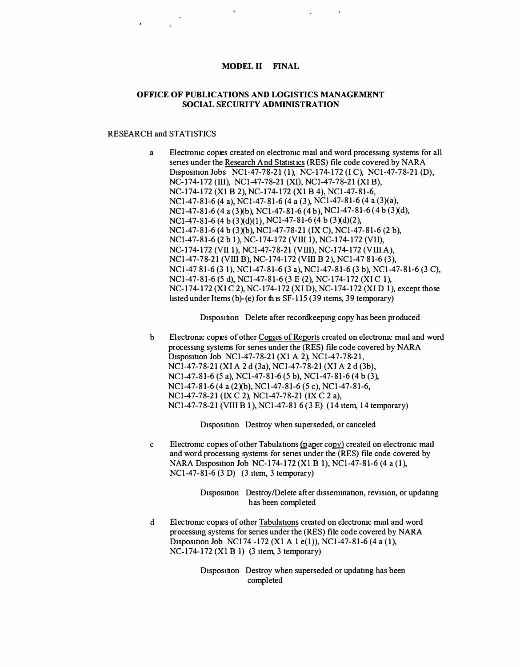## **MODEL II FINAL**

## **OFFICE OF PUBLICATIONS AND LOGISTICS MANAGEMENT SOCIAL SECURITY ADMINISTRATION**

## RESEARCH and STATISTICS

a Electronic copies created on electronic mail and word processing systems for all series under the Research And Statistics (RES) file code covered by NARA Disposition Jobs NC1-47-78-21 (1), NC-174-172 (I C), NC1-47-78-21 (D), NC-174-172 (III), NCl-47-78-21 (XI), NCl-47-78-21 (XI B), NC-174-172 (Xl B 2), NC-174-172 (Xl B 4), NCI-47-81-6, NCl-47-81-6 (4 a), NCl-47-81-6 (4 a (3), NCI-47-81-6 (4 a (3)(a), NCI-47-81-6 (4 a (3Xb), NCl-47-81-6 (4 b), NCI-47-81-6 (4 b (3)(d),  $NC1-47-81-6$  (4 b (3)(d)(1),  $NC1-47-81-6$  (4 b (3)(d)(2), NCl-47-81-6 (4 b (3Xb), NCl-47-78-21 (IX **C),** NCI-47-81-6 (2 b), NCl-47-81-6 (2 b 1), NC-174-172 (VIII 1), NC-174-172 (VII), NC-174-172 (VII 1), NCI-47-78-21 (VIII), NC-174-172 (VIII A), NCI-47-78-21 (VIII B), NC-174-172 (VIII B 2), NCl-47 81-6 (3), NCl-47 81-6 (3 1), NCl-47-81-6 (3 a), NCI-47-81-6 (3 b), NCI-47-81-6 (3 **C),**  NCI-47-81-6 (5 d), NCl-47-81-6 (3 E (2), NC-174-172 (XI C 1), NC-174-172 (XI C 2), NC-174-172 (XI D), NC-174-172 (XI D 1), except those listed under Items (b)-(e) for this SF-115 (39 items, 39 temporary)

Disposition Delete after record keeping copy has been produced

b Electronic copies of other Copies of Reports created on electronic mail and word proc essmg systems for senes under the (RES) file code covered by NARA [Disposition](https://D1spos1tJ.on) Job NCl-47-78-21 (Xl A 2), NCl-47-78-21, NCl-47-78-21 (XI A 2 d (3a), NCl-47-78-21 (XI A 2 d (3b), NCl-47-81-6 (5 a), NCI-47-81-6 (5 b), NCI-47-81-6 (4 b (3), NC1-47-81-6 (4 a (2)(b), NC1-47-81-6 (5 c), NC1-47-81-6, NC1-47-78-21 (IX C 2), NC1-47-78-21 (IX C 2 a), NCl-47-78-21 (VIII B 1 ), NCI-47-81 6 (3 E) (14 item, 14 temporary)

Disposition Destroy when superseded, or canceled

c Electronic copies of other Tabulations (paper copy) created on electronic mail and word processmg systems for senes under the (RES) file code covered by NARA Disposition Job NC-174-172 (Xl B 1), NCI-47-81-6 (4 a (1), NCl-47-81-6 (3 D) (3 item, 3 temporary)

> Disposition Destroy/Delete after dissemination, revision, or updating has been completed

d Electromc copies of other Tabulations created on electromc m ail and word processmg systems for senes under the (RES) file code covered by NARA Disposition Job NCI 74 -172 (Xl A 1 e(l)), NCI-47-81-6 (4 a **(1 ),**  NC-174-172 (Xl B 1) (3 item, 3 temporary)

> [Disposition](https://D1spos1tJ.on) Destroy when superseded or updatmg has been completed